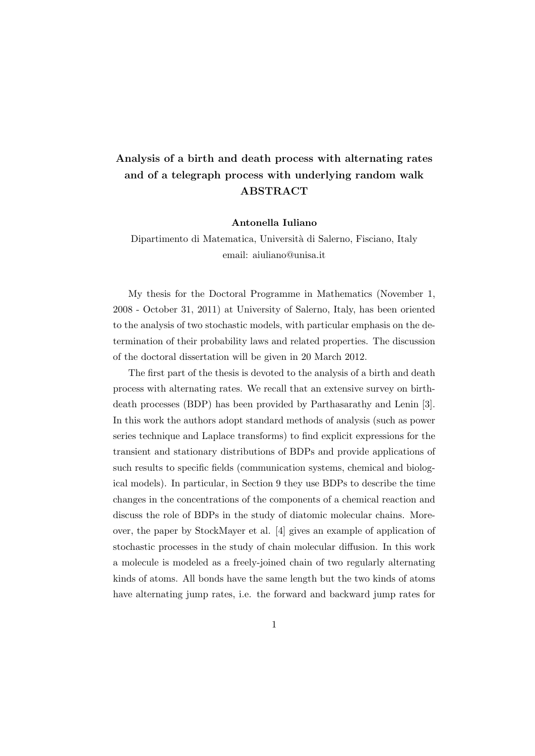## Analysis of a birth and death process with alternating rates and of a telegraph process with underlying random walk ABSTRACT

## Antonella Iuliano

Dipartimento di Matematica, Università di Salerno, Fisciano, Italy email: aiuliano@unisa.it

My thesis for the Doctoral Programme in Mathematics (November 1, 2008 - October 31, 2011) at University of Salerno, Italy, has been oriented to the analysis of two stochastic models, with particular emphasis on the determination of their probability laws and related properties. The discussion of the doctoral dissertation will be given in 20 March 2012.

The first part of the thesis is devoted to the analysis of a birth and death process with alternating rates. We recall that an extensive survey on birthdeath processes (BDP) has been provided by Parthasarathy and Lenin [3]. In this work the authors adopt standard methods of analysis (such as power series technique and Laplace transforms) to find explicit expressions for the transient and stationary distributions of BDPs and provide applications of such results to specific fields (communication systems, chemical and biological models). In particular, in Section 9 they use BDPs to describe the time changes in the concentrations of the components of a chemical reaction and discuss the role of BDPs in the study of diatomic molecular chains. Moreover, the paper by StockMayer et al. [4] gives an example of application of stochastic processes in the study of chain molecular diffusion. In this work a molecule is modeled as a freely-joined chain of two regularly alternating kinds of atoms. All bonds have the same length but the two kinds of atoms have alternating jump rates, i.e. the forward and backward jump rates for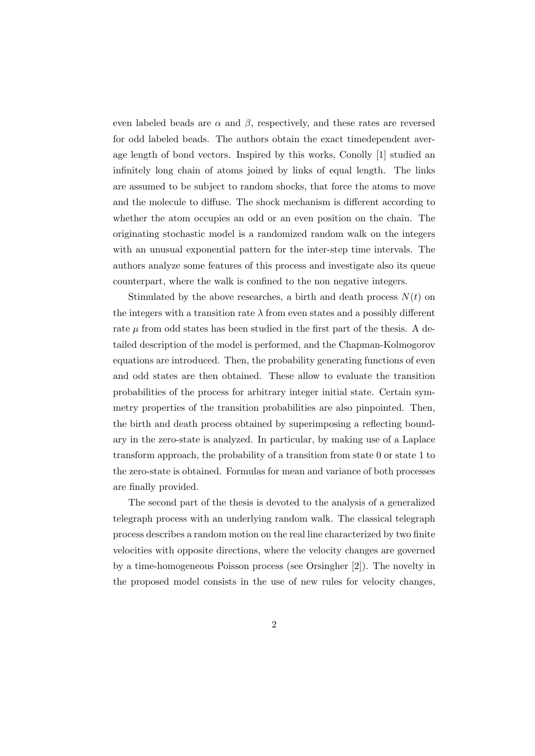even labeled beads are  $\alpha$  and  $\beta$ , respectively, and these rates are reversed for odd labeled beads. The authors obtain the exact timedependent average length of bond vectors. Inspired by this works, Conolly [1] studied an infinitely long chain of atoms joined by links of equal length. The links are assumed to be subject to random shocks, that force the atoms to move and the molecule to diffuse. The shock mechanism is different according to whether the atom occupies an odd or an even position on the chain. The originating stochastic model is a randomized random walk on the integers with an unusual exponential pattern for the inter-step time intervals. The authors analyze some features of this process and investigate also its queue counterpart, where the walk is confined to the non negative integers.

Stimulated by the above researches, a birth and death process  $N(t)$  on the integers with a transition rate  $\lambda$  from even states and a possibly different rate  $\mu$  from odd states has been studied in the first part of the thesis. A detailed description of the model is performed, and the Chapman-Kolmogorov equations are introduced. Then, the probability generating functions of even and odd states are then obtained. These allow to evaluate the transition probabilities of the process for arbitrary integer initial state. Certain symmetry properties of the transition probabilities are also pinpointed. Then, the birth and death process obtained by superimposing a reflecting boundary in the zero-state is analyzed. In particular, by making use of a Laplace transform approach, the probability of a transition from state 0 or state 1 to the zero-state is obtained. Formulas for mean and variance of both processes are finally provided.

The second part of the thesis is devoted to the analysis of a generalized telegraph process with an underlying random walk. The classical telegraph process describes a random motion on the real line characterized by two finite velocities with opposite directions, where the velocity changes are governed by a time-homogeneous Poisson process (see Orsingher [2]). The novelty in the proposed model consists in the use of new rules for velocity changes,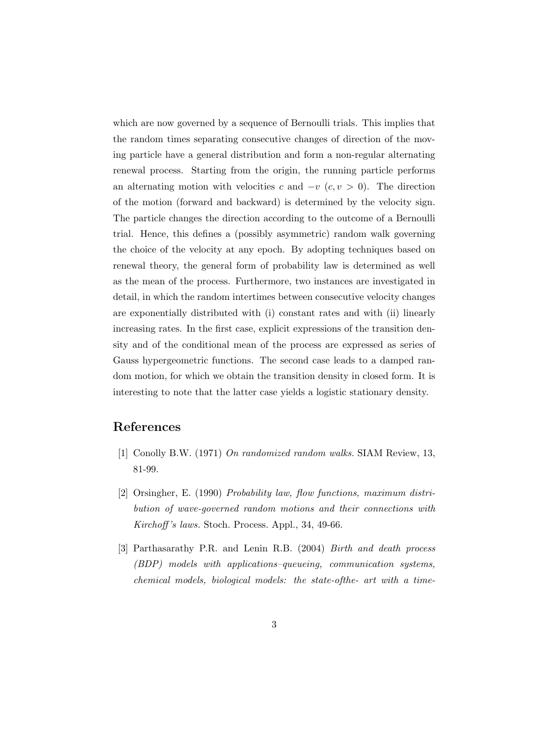which are now governed by a sequence of Bernoulli trials. This implies that the random times separating consecutive changes of direction of the moving particle have a general distribution and form a non-regular alternating renewal process. Starting from the origin, the running particle performs an alternating motion with velocities c and  $-v$  (c,  $v > 0$ ). The direction of the motion (forward and backward) is determined by the velocity sign. The particle changes the direction according to the outcome of a Bernoulli trial. Hence, this defines a (possibly asymmetric) random walk governing the choice of the velocity at any epoch. By adopting techniques based on renewal theory, the general form of probability law is determined as well as the mean of the process. Furthermore, two instances are investigated in detail, in which the random intertimes between consecutive velocity changes are exponentially distributed with (i) constant rates and with (ii) linearly increasing rates. In the first case, explicit expressions of the transition density and of the conditional mean of the process are expressed as series of Gauss hypergeometric functions. The second case leads to a damped random motion, for which we obtain the transition density in closed form. It is interesting to note that the latter case yields a logistic stationary density.

## References

- [1] Conolly B.W. (1971) On randomized random walks. SIAM Review, 13, 81-99.
- [2] Orsingher, E. (1990) Probability law, flow functions, maximum distribution of wave-governed random motions and their connections with Kirchoff 's laws. Stoch. Process. Appl., 34, 49-66.
- [3] Parthasarathy P.R. and Lenin R.B. (2004) Birth and death process (BDP) models with applications–queueing, communication systems, chemical models, biological models: the state-ofthe- art with a time-